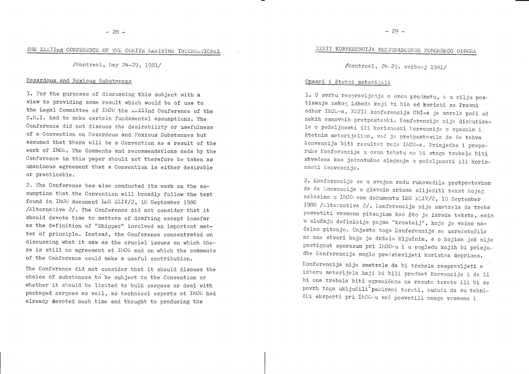$-28 -$ 

## THE XXXIInd CONFERENCE OF THE COMITE MARITIME INTERNATIONAL

/Montreal, May 24-29, 1981/

#### Hazardous and Noxious Substances

1. For the purposes of discussing this subject with a view to providing some result which would be of use to the Legal Committee of IMCO the XXXIInd Conference of the C.M.I. had to make certain fundamental assumptions. The Conference did not discuss the desirability or usefulness of a Convention on Hazardous and Noxious Substances but assumed that there will be a Convention as a result of the work of IMCO. The Comments and recommendations made by the Conference in this paper should not therefore be taken as unanimous agreement that a Convention is either desirable or practicable.

2. The Conference has also conducted its work on the assumption that the Convention will broadly follow the text found in IMCO document LEG XLIV/2, 10 September 1980 /Alternative 2/. The Conference did not consider that it should devote time to matters of drafting except insofar as the definition of "Shipper" involved an important matter of principle. Instead, the Conference concentrated on discussing what it saw as the crucial issues on which there is still no agreement at IMCO and on which the comments of the Conference could make a useful contribution.

The Conference did not consider that it should discuss the choice of substances to be subject to the Convention or whether it should be limited to bulk cargoes or deal with packaged cargoes as well, as technical experts at IMCO had already devoted much time and thought to producing the

## XXXII KONFERENCIJA MEDJUNARODNOG POMORSKOG ODBORA

/Montreal, 24-29. svibanj 1981/

#### Opasni i štetni materijali

1. U svrhu raspravljanja o ovom predmetu, a u cilju postizanja nekog ishoda koji bi bio od koristi za Pravni odbor INCO-a, XXXII konferencija CMI-a je morala poći od nekih osnovnih pretpostavki. Konferencija nije diskutirala o poželjnosti ili korisnosti Konvencije o opasnim i štetnim materijalima, već je pretpostavila da će takva Konvencija biti rezultat rada IMCO-a. Primjedbe i preporuke Konferencije u ovom tekstu ne bi stoga trebale biti shvaćene kao jednodušno slaganje o poželjnosti ili korisnosti Konvencije.

2. Konferencija se u svojem radu rukovodila pretpostavkom da će Konvencija u glavnim crtama slijediti tekst kojeg nalazimo u IMCO-vom dokumentu LEG XLIV/2, 10 September 1980 /Alternativa 2/. Konferencija nije smatrala da treba posvetiti vremena pitanjima kao što je izrada teksta, osim u slučaju definicije pojma "krcatelj", koje je važno načelno pitanje. Umjesto toga Konferencija se usredotočila na one stvari koje je držala ključnim, a o kojima još nije postignut sporazum pri IMCO-u i u pogledu kojih bi primjedbe Konferencije mogle predstavljati koristan doprinos.

Konferencija nije smatrala da bi trebala raspravljati o izboru materijala koji bi bili predmet Konvencije i da li bi ona trebala biti ograničena na rasute terete ili bi se povrh toga uključili<sup>1</sup> pakirani tereti, budući da su tehnički eksperti pri IMCC-u već posvetili mnogo vremena i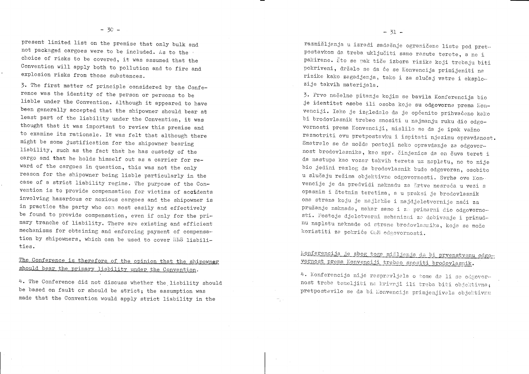present limited list on the premise that only bulk and not packaged cargoes were to be included. As to the choice of risks to be covered, it was assumed that the Convention will apply both to pollution and to fire and explosion risks from those substances.

3. The first matter of principle considered by the Conference was the identity of the person or persons to be liable under the Convention. Although it appeared to have been generally accepted that the shipowner should bear at least part of the liability under the Convention, it was thought that it was important to review this premise and to examine its rationale. It was felt that although there might be some justification for the shipowner bearing liability, such as the fact that he has custody of the cargo and that he holds himself out as a carrier for reward of the cargoes in question, this was not the only reason for the shipowner being liable particularly in the case of a strict liability regime. The purpose of the Convention is to provide compensation for victims of accidents involving hazardous or noxious cargoes and the shipowner is in practice the party who can most easily and effectively be found to provide compensation, even if only for the primary tranche of liability. There are existing and efficient mechanisms for obtaining and enforcing payment of compensation by shipowners, which can be used to cover HNS liabilities.

### The Conference is therefore of the opinion that the shipowner should bear the primary liability under the Convention.

4. The Conference did not discuss whether the liability should be based on fault or should be strict; the assumption was made that the Convention would apply strict liability in the

 $\sim 10^{11}$  km

 $\sim 10^{-11}$ 

razmišljanja u izradi sadašnje ograničene liste pod pretpostavkom da treba uključiti samo rasute terete, a ne i pakirane. Što se pak tiče izbora rizika koji trebaju biti pokriveni, držalo se da će se Konvencija primijeniti na rizike kako zagadjenja, tako i za slučaj vatre i eksplozije takvih materijala.

3. Prvo načelno pitanje kojim se bavila Konferencija bio jë identitet osobe ili osoba koje su odgovorne prema Konvenciji. Iako je izgledalo da je općenito prihvaćeno kako bi brodovlasnik trebao snositi u najmanju ruku dio odgovornosti prema Konvenciji, mislilo se da je ipak važno razmotriti ovu pretpostavku i ispitati njezinu opravdanost. Smatralo se da možda postoji neko opravdanje za odgovornost brodovlasnika, kao npr. činjenica da on čuva teret i da nastupa kao vozar takvih tereta uz naplatu, no to nije bio jedini razlog da brodovlasnik bude odgovoran, osobito u slučaju režima objektivne odgovornosti. Svrha ove Konvencije je da predvidi naknadu za šrtve nesreća u vezi s opasnim i štetnim teretima, a u praksi je brodovlasnik ona strana koju je najlakše i najdjelotvornije naći za pružanje naknade, makar samo i za primarni dio odgovornosti. Postoje djelotvorni mehanizmi za dobivanje i prinudnu naplatu naknade od strane brodovlasnika, koja se može koristiti za pokriće ObM odgovornosti.

## Konferencija je zbog toga mišljenja da bi prvenstvenu odgovornost prema Konvenciji trebao snositi brodovlasnik.

4. Konferencija nije raspravljala o tome da li se odgovornost treba temeljiti na krivnji ili treba biti objektivna; pretpostavilo se da bi Konvencija primjenjivala objektivnu

 $\overline{\mathcal{C}}_{\chi}$  ,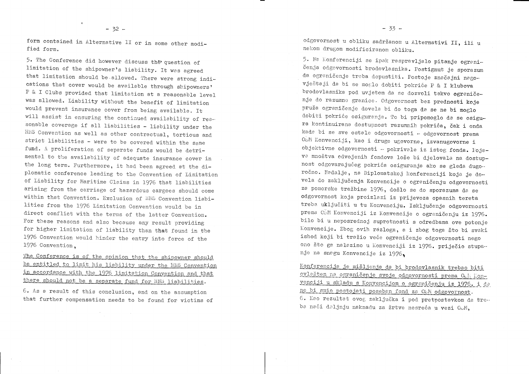$\ddot{x}$ 

form contained in Alternative II or in some other modified form.

5. The Conference did however discuss the question of limitation of the shipowner's liability. It was agreed that limitation should be allowed. There were strong indications that cover would be available through shipowners' P & I Clubs provided that limitation at a reasonable level was allowed. Liability without the benefit of limitation would prevent insurance cover from being available. It will assist in ensuring the continued availability of reasonable coverage if all liabilities - liability under the HNS Convention as well as other contractual, tortious and strict liabilities - were to be covered within the same fund. A proliferation of separate funds would be detrimental to the availability of adequate insurance cover in the long term. Furthermore, it had been agreed at the diplomatic conference leading to the Convention of Limitation of Liability for Maritime Claims in 1976 that liabilities arising from the carriage of hazardous cargoes should come within that Convention. Exclusion of HNS Convention liabilities from the 1976 Limitation Convention would be in direct conflict with the terms of the latter Convention. For these reasons and also because any result providing for higher limitation of liability than that found in the 1976 Convention would hinder the entry into force of the 1976 Convention.

The Conference is of the opinion that the shipowner should be entitled to limit his liability under the HNS Convention in accordance with the 1976 limitation Convention and that there should not be a separate fund for HNS liabilities.

6. As a result of this conclusion, and on the assumption that further compensation needs to be found for victims of

 $\sim 10^7$ 

 $\sim 10^7$ 

odgovornost u obliku sadržanom u Alternativi II, ili u nekom drugom modificiranom obliku.

5. Na Konferenciji se ipak raspravljalo pitanje ograničenja odgovornosti brodovlasnika. Postignut je sporazum da ograničenje treba dopustiti. Postoje značajni nagovještaji da bi se moglo dobiti pokriće P & I klubova brodovlasnika pod uvjetom da se dozvoli takvo ograničenje do razumne granice. Odgovornost bez prednosti koje pruža ograničenje dovela bi do toga da se ne bi moglo dobiti pokriće osiguranja. To bi pripomoglo da se osigura kontinuirana dostupnost razumnih pokrića, čak i onda kada bi se sve ostale odgovornosti - odgovornost prema OSM Konvenciji, kao i druge ugovorne, izvanugovorne i objektivne odgovornosti - pokrivale iz istog fonda. Pojava mnoštva odvojenih fondova loše bi djelovala na dostupnost odgovarajućeg pokrića osiguranja ako se gleda dugoročno. Nadalje, na Diplomatskoj konferenciji koja je dovela do zaključenja Konvencije o ograničenju odgovornosti za pomorske tražbine 1976, došlo se do sporazuma da se odgovornost koja proizlazi iz prijevoza opasnih tereta treba uključiti u tu Konvenciju. Isključenje odgovornosti prema OŠM Konvenciji iz Konvencije o ograničenju iz 1976. bilo bi u neposrednoj suprotnosti s odredbama ove potonje Konvencije. Zbog ovih razloga, a i zbog toga što bi svaki ishod koji bi tražio veće ograničenje odgovornosti nego ono što ga nalazimo u Konvenciji iz 1976. priječio stupanje na snagu Konvencije iz 1976,

Konferencija je mišljenja da bi brodovlasnik trebao biti ovlašten na ograničenje svoje odgovornosti prema Och Konvenciji u skladu s Konvencijom o ograničenju iz 1976. i da ne bi smio postojati poseban fond za OSM odgovornost. 6. Kao rezultat ovog zaključka i pod pretpostavkom da treba naći daljnju naknadu za žrtve nesreća u vezi ODM,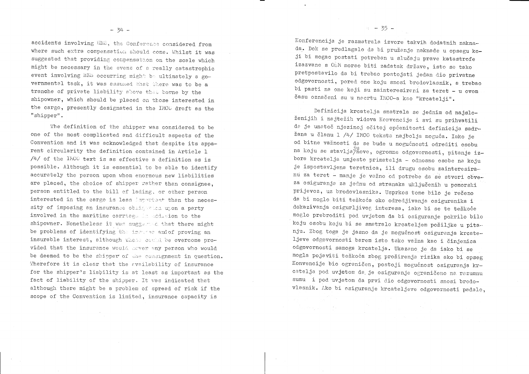accidents involving HNE, the Conference considered from where such extra compensation should come. Whilst it was suggested that providing compensation on the scale which might be necessary in the event of a really catastrophic event involving HNS occurring might be ultimately a governmental task, it was assumed that there was to be a tranche of private liability above that borne by the shipowner, which should be placed on those interested in the cargo, presently designated in the IMCC draft as the "shipper".

The definition of the shipper was considered to be one of the most complicated and difficult aspects of the Convention and it was acknowledged that despite its apparent circularity the definition contained in Article 1 /4/ of the IMCO text is as effective a definition as is possible. Although it is essential to be able to identify accurately the person upon whom enormous new liabilities are placed, the choice of shipper rather than consignee, person entitled to the bill of lading, or other person interested in the cargo is less important than the necessity of imposing an insurance obliquation upon a party involved in the maritime carriage in addition to the shipowner. Nonetheless it was suggested that there might be problems of identifying the insured and of proving an insurable interest, although these could be overcome provided that the insurance would sever any person who would be deemed to be the shipper of the consignment in question. Therefore it is clear that the availability of insurance for the shipper's liability is at least as important as the fact of liability of the shipper. It was indicated that although there might be a problem of spread of risk if the scope of the Convention is limited, insurance capacity is

 $\sim 10^{-10}$ 

 $\sim$ 

 $\sim 10^{11}$ 

Konferencija je razmatrala izvore takvih dodatnih naknada. Dok se predlagalo da bi pružanje naknade u opsegu koji bi mogao postati potreban u slučaju prave katastrofe izazvane s OŠM morao biti zadatak države, isto se tako pretpostavilo da bi trebao postojati jedan dio privatne odgovornosti, pored one koju snosi brodovlasnik, a trebao bi pasti na one koji su zainteresirani za teret - u ovom času označeni su u nacrtu IMCO-a kao "krcatelji".

Definicija krcatelja smatrala se jednim od najsloženijih i najtežih vidova Konvencije i svi su prihvatili da je unatoč njezinoj očitoj općenitosti definicija sadržana u članu 1 /4/ IMCO teksta najbolja moguća. Iako je od bitne važnosti da se bude u mogućnosti odrediti osobu na koju se stavlja/nove, ogromne odgovornosti, pitanje izbora krcatelja umjesto primatelja - odnosno osobe na koju je ispostavljena teretnica, ili drugu osobu zainteresiranu za teret - manje je važno od potrebe da se stvori obveza osiguranja za jednu od stranaka uključenih u pomorski prijevoz, uz brodovlasnika. Usprkos tome bilo je rečeno da bi moglo biti teškoća oko odredjivanja osiguranika i dokazivanja osigurljivog interesa, iako bi se te teškoće moglo prebroditi pod uvjetom da bi osiguranje pokrilo bilo koju osobu koju bi se smatralo krcateljem pošiljke u pitanju. Zbog toga je jasno da je mogućnost osiguranja krcateljeve odgovornosti barem isto tako važna kao i činjenica odgovornosti samoga krcatelja. Ukazano je da iako bi se mogla pojaviti teškoća zbog proširenja rizika ako bi opseg Konvencije bio ograničen, postoji mogućnost osiguranja krcatelja pod uvjetom da je osiguranje ograničeno na razumnu sumu i pod uvjetom da prvi dio odgovornosti snosi brodovlasnik. Ako bi osiguranje krcateljeve odgovornosti padalo,

 $\pm$  - 35 -